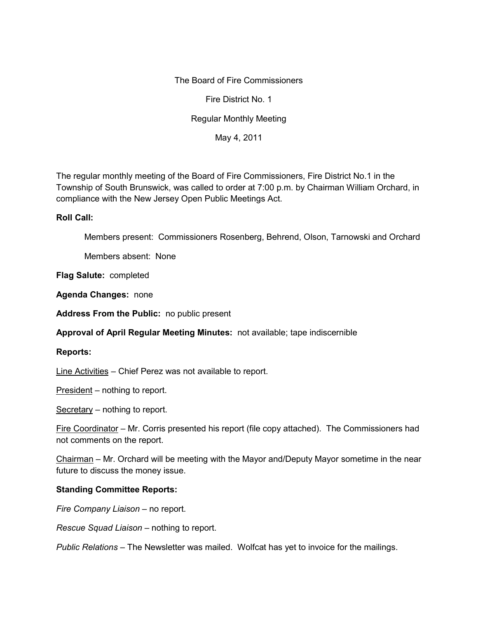The Board of Fire Commissioners

Fire District No. 1

Regular Monthly Meeting

May 4, 2011

The regular monthly meeting of the Board of Fire Commissioners, Fire District No.1 in the Township of South Brunswick, was called to order at 7:00 p.m. by Chairman William Orchard, in compliance with the New Jersey Open Public Meetings Act.

## **Roll Call:**

Members present: Commissioners Rosenberg, Behrend, Olson, Tarnowski and Orchard

Members absent: None

**Flag Salute:** completed

**Agenda Changes:** none

**Address From the Public:** no public present

**Approval of April Regular Meeting Minutes:** not available; tape indiscernible

## **Reports:**

Line Activities – Chief Perez was not available to report.

President – nothing to report.

Secretary – nothing to report.

Fire Coordinator – Mr. Corris presented his report (file copy attached). The Commissioners had not comments on the report.

Chairman – Mr. Orchard will be meeting with the Mayor and/Deputy Mayor sometime in the near future to discuss the money issue.

## **Standing Committee Reports:**

*Fire Company Liaison –* no report.

*Rescue Squad Liaison –* nothing to report.

*Public Relations –* The Newsletter was mailed. Wolfcat has yet to invoice for the mailings.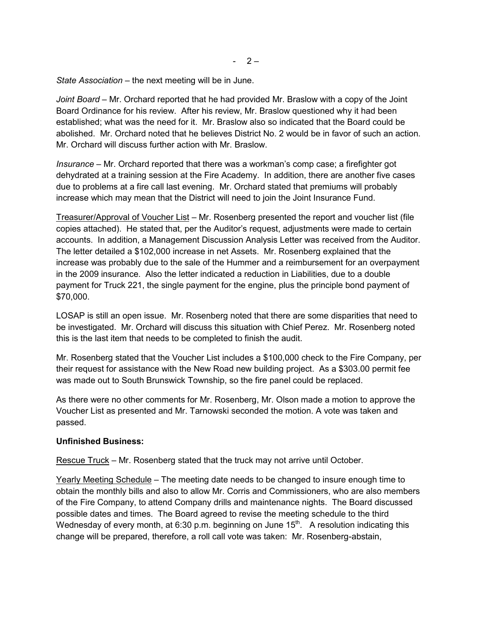*State Association* – the next meeting will be in June.

*Joint Board –* Mr. Orchard reported that he had provided Mr. Braslow with a copy of the Joint Board Ordinance for his review. After his review, Mr. Braslow questioned why it had been established; what was the need for it. Mr. Braslow also so indicated that the Board could be abolished. Mr. Orchard noted that he believes District No. 2 would be in favor of such an action. Mr. Orchard will discuss further action with Mr. Braslow.

*Insurance –* Mr. Orchard reported that there was a workman's comp case; a firefighter got dehydrated at a training session at the Fire Academy. In addition, there are another five cases due to problems at a fire call last evening. Mr. Orchard stated that premiums will probably increase which may mean that the District will need to join the Joint Insurance Fund.

Treasurer/Approval of Voucher List – Mr. Rosenberg presented the report and voucher list (file copies attached). He stated that, per the Auditor's request, adjustments were made to certain accounts. In addition, a Management Discussion Analysis Letter was received from the Auditor. The letter detailed a \$102,000 increase in net Assets. Mr. Rosenberg explained that the increase was probably due to the sale of the Hummer and a reimbursement for an overpayment in the 2009 insurance. Also the letter indicated a reduction in Liabilities, due to a double payment for Truck 221, the single payment for the engine, plus the principle bond payment of \$70,000.

LOSAP is still an open issue. Mr. Rosenberg noted that there are some disparities that need to be investigated. Mr. Orchard will discuss this situation with Chief Perez. Mr. Rosenberg noted this is the last item that needs to be completed to finish the audit.

Mr. Rosenberg stated that the Voucher List includes a \$100,000 check to the Fire Company, per their request for assistance with the New Road new building project. As a \$303.00 permit fee was made out to South Brunswick Township, so the fire panel could be replaced.

As there were no other comments for Mr. Rosenberg, Mr. Olson made a motion to approve the Voucher List as presented and Mr. Tarnowski seconded the motion. A vote was taken and passed.

## **Unfinished Business:**

Rescue Truck – Mr. Rosenberg stated that the truck may not arrive until October.

Yearly Meeting Schedule – The meeting date needs to be changed to insure enough time to obtain the monthly bills and also to allow Mr. Corris and Commissioners, who are also members of the Fire Company, to attend Company drills and maintenance nights. The Board discussed possible dates and times. The Board agreed to revise the meeting schedule to the third Wednesday of every month, at 6:30 p.m. beginning on June 15 $^{\rm th}$ .  $\,$  A resolution indicating this change will be prepared, therefore, a roll call vote was taken: Mr. Rosenberg-abstain,